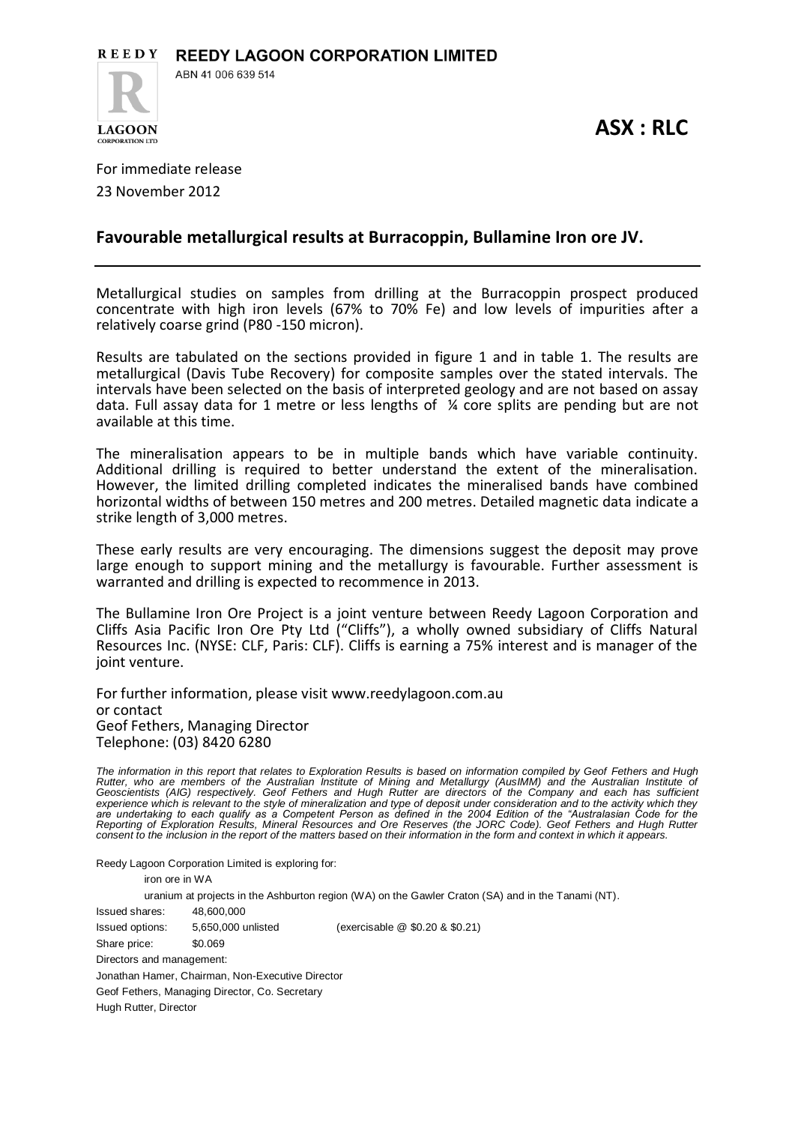

**ASX : RLC**

For immediate release 23 November 2012

**CORPORATION LTD** 

## **Favourable metallurgical results at Burracoppin, Bullamine Iron ore JV.**

Metallurgical studies on samples from drilling at the Burracoppin prospect produced concentrate with high iron levels (67% to 70% Fe) and low levels of impurities after a relatively coarse grind (P80 -150 micron).

Results are tabulated on the sections provided in figure 1 and in table 1. The results are metallurgical (Davis Tube Recovery) for composite samples over the stated intervals. The intervals have been selected on the basis of interpreted geology and are not based on assay data. Full assay data for 1 metre or less lengths of ¼ core splits are pending but are not available at this time.

The mineralisation appears to be in multiple bands which have variable continuity. Additional drilling is required to better understand the extent of the mineralisation. However, the limited drilling completed indicates the mineralised bands have combined horizontal widths of between 150 metres and 200 metres. Detailed magnetic data indicate a strike length of 3,000 metres.

These early results are very encouraging. The dimensions suggest the deposit may prove large enough to support mining and the metallurgy is favourable. Further assessment is warranted and drilling is expected to recommence in 2013.

The Bullamine Iron Ore Project is a joint venture between Reedy Lagoon Corporation and Cliffs Asia Pacific Iron Ore Pty Ltd ("Cliffs"), a wholly owned subsidiary of Cliffs Natural Resources Inc. (NYSE: CLF, Paris: CLF). Cliffs is earning a 75% interest and is manager of the joint venture.

For further information, please visit [www.reedylagoon.com.au](http://www.reedylagoon.com.au/)  or contact Geof Fethers, Managing Director Telephone: (03) 8420 6280

*The information in this report that relates to Exploration Results is based on information compiled by Geof Fethers and Hugh Rutter, who are members of the Australian Institute of Mining and Metallurgy (AusIMM) and the Australian Institute of*  Geoscientists (AIG) respectively. Geof Fethers and Hugh Rutter are directors of the Company and each has sufficient<br>experience which is relevant to the style of mineralization and type of deposit under consideration and to Reporting of Exploration Results, Mineral Resources and Ore Reserves (the JORC Code). Geof Fethers and Hugh Rutter<br>consent to the inclusion in the report of the matters based on their information in the form and context in

Reedy Lagoon Corporation Limited is exploring for:

iron ore in WA

uranium at projects in the Ashburton region (WA) on the Gawler Craton (SA) and in the Tanami (NT). Issued shares: 48,600,000 Issued options: 5,650,000 unlisted (exercisable @ \$0.20 & \$0.21) Share price: \$0.069 Directors and management: Jonathan Hamer, Chairman, Non-Executive Director Geof Fethers, Managing Director, Co. Secretary Hugh Rutter, Director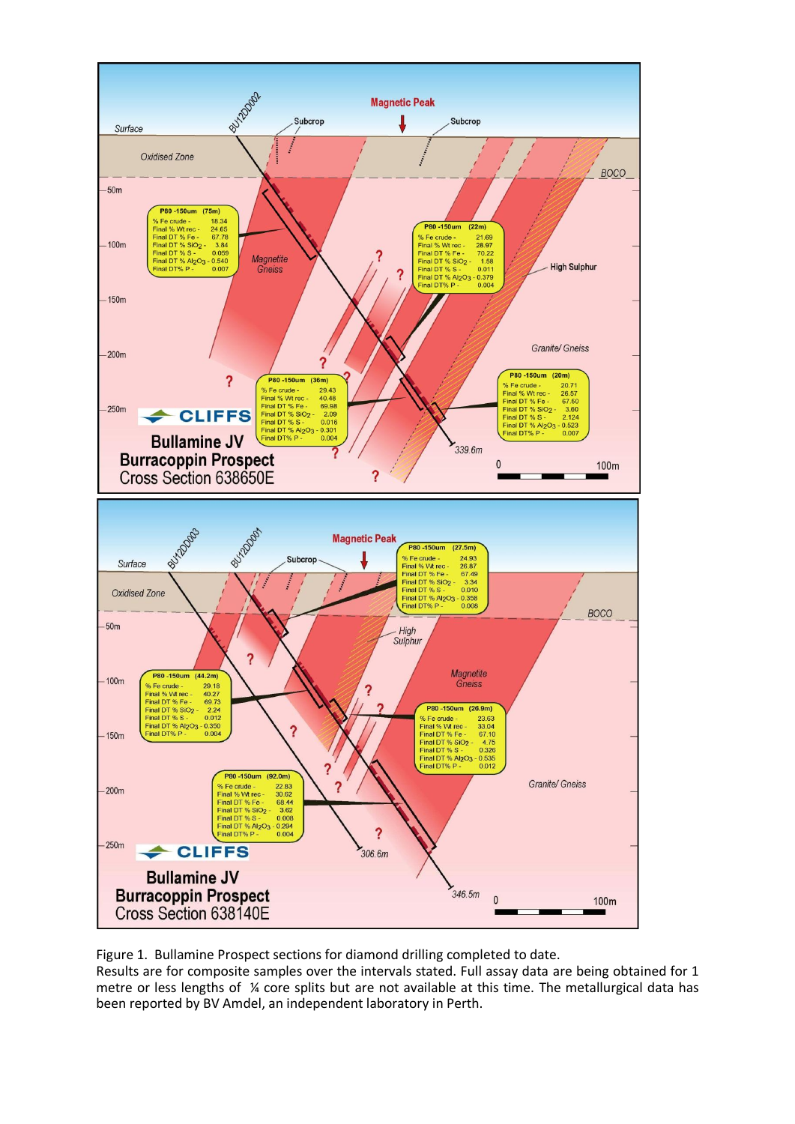

Figure 1. Bullamine Prospect sections for diamond drilling completed to date.

Results are for composite samples over the intervals stated. Full assay data are being obtained for 1 metre or less lengths of ¼ core splits but are not available at this time. The metallurgical data has been reported by BV Amdel, an independent laboratory in Perth.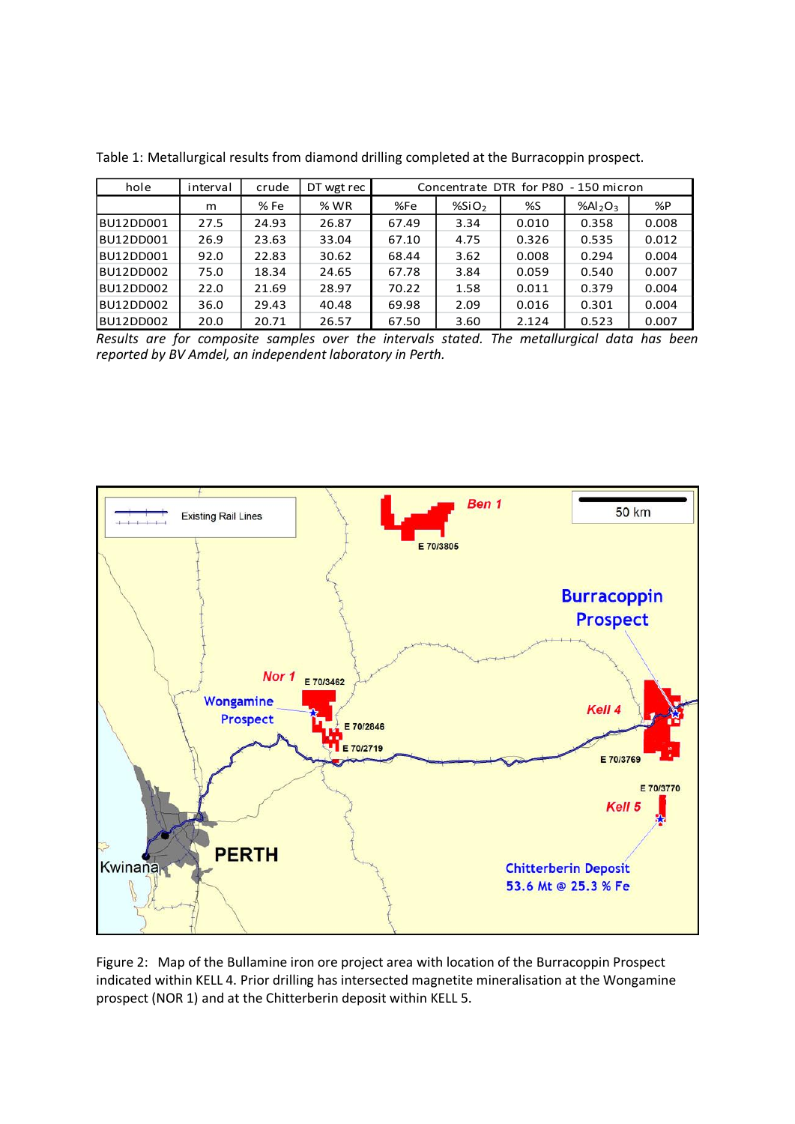| hole      | interval | crude | DT wgt rec | Concentrate DTR for P80 - 150 micron |                   |       |                                 |       |  |  |
|-----------|----------|-------|------------|--------------------------------------|-------------------|-------|---------------------------------|-------|--|--|
|           | m        | % Fe  | % WR       | %Fe                                  | %SiO <sub>2</sub> | %S    | %Al <sub>2</sub> O <sub>3</sub> | %P    |  |  |
| BU12DD001 | 27.5     | 24.93 | 26.87      | 67.49                                | 3.34              | 0.010 | 0.358                           | 0.008 |  |  |
| BU12DD001 | 26.9     | 23.63 | 33.04      | 67.10                                | 4.75              | 0.326 | 0.535                           | 0.012 |  |  |
| BU12DD001 | 92.0     | 22.83 | 30.62      | 68.44                                | 3.62              | 0.008 | 0.294                           | 0.004 |  |  |
| BU12DD002 | 75.0     | 18.34 | 24.65      | 67.78                                | 3.84              | 0.059 | 0.540                           | 0.007 |  |  |
| BU12DD002 | 22.0     | 21.69 | 28.97      | 70.22                                | 1.58              | 0.011 | 0.379                           | 0.004 |  |  |
| BU12DD002 | 36.0     | 29.43 | 40.48      | 69.98                                | 2.09              | 0.016 | 0.301                           | 0.004 |  |  |
| BU12DD002 | 20.0     | 20.71 | 26.57      | 67.50                                | 3.60              | 2.124 | 0.523                           | 0.007 |  |  |

Table 1: Metallurgical results from diamond drilling completed at the Burracoppin prospect.

*Results are for composite samples over the intervals stated. The metallurgical data has been reported by BV Amdel, an independent laboratory in Perth.* 



Figure 2: Map of the Bullamine iron ore project area with location of the Burracoppin Prospect indicated within KELL 4. Prior drilling has intersected magnetite mineralisation at the Wongamine prospect (NOR 1) and at the Chitterberin deposit within KELL 5.